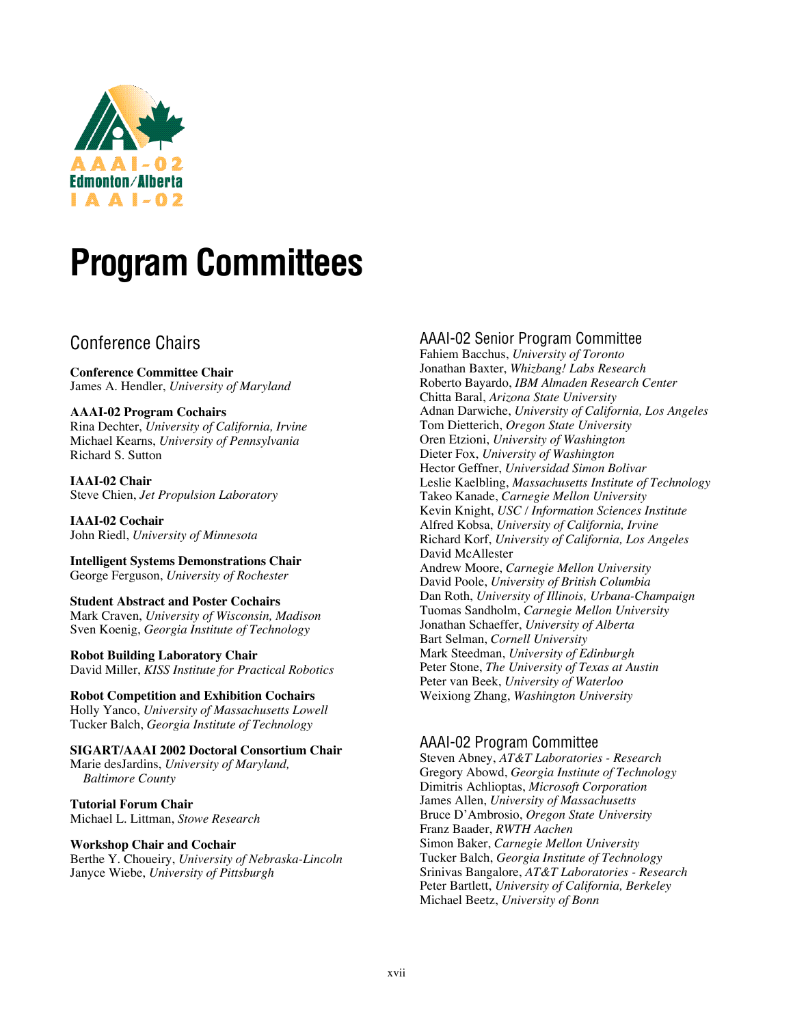

# **Program Committees**

# Conference Chairs

**Conference Committee Chair** James A. Hendler, *University of Maryland*

#### **AAAI-02 Program Cochairs**

Rina Dechter, *University of California, Irvine* Michael Kearns, *University of Pennsylvania* Richard S. Sutton

**IAAI-02 Chair** Steve Chien, *Jet Propulsion Laboratory*

**IAAI-02 Cochair** John Riedl, *University of Minnesota*

**Intelligent Systems Demonstrations Chair** George Ferguson, *University of Rochester*

**Student Abstract and Poster Cochairs** Mark Craven, *University of Wisconsin, Madison* Sven Koenig, *Georgia Institute of Technology*

**Robot Building Laboratory Chair** David Miller, *KISS Institute for Practical Robotics*

**Robot Competition and Exhibition Cochairs** Holly Yanco, *University of Massachusetts Lowell* Tucker Balch, *Georgia Institute of Technology*

**SIGART/AAAI 2002 Doctoral Consortium Chair**

Marie desJardins, *University of Maryland, Baltimore County*

**Tutorial Forum Chair** Michael L. Littman, *Stowe Research*

#### **Workshop Chair and Cochair**

Berthe Y. Choueiry, *University of Nebraska-Lincoln* Janyce Wiebe, *University of Pittsburgh*

## AAAI-02 Senior Program Committee

Fahiem Bacchus, *University of Toronto* Jonathan Baxter, *Whizbang! Labs Research* Roberto Bayardo, *IBM Almaden Research Center* Chitta Baral, *Arizona State University* Adnan Darwiche, *University of California, Los Angeles* Tom Dietterich, *Oregon State University* Oren Etzioni, *University of Washington* Dieter Fox, *University of Washington* Hector Geffner, *Universidad Simon Bolivar* Leslie Kaelbling, *Massachusetts Institute of Technology* Takeo Kanade, *Carnegie Mellon University* Kevin Knight, *USC / Information Sciences Institute* Alfred Kobsa, *University of California, Irvine* Richard Korf, *University of California, Los Angeles* David McAllester Andrew Moore, *Carnegie Mellon University* David Poole, *University of British Columbia* Dan Roth, *University of Illinois, Urbana-Champaign* Tuomas Sandholm, *Carnegie Mellon University* Jonathan Schaeffer, *University of Alberta* Bart Selman, *Cornell University* Mark Steedman, *University of Edinburgh* Peter Stone, *The University of Texas at Austin* Peter van Beek, *University of Waterloo* Weixiong Zhang, *Washington University*

## AAAI-02 Program Committee

Steven Abney, *AT&T Laboratories - Research* Gregory Abowd, *Georgia Institute of Technology* Dimitris Achlioptas, *Microsoft Corporation* James Allen, *University of Massachusetts* Bruce D'Ambrosio, *Oregon State University* Franz Baader, *RWTH Aachen* Simon Baker, *Carnegie Mellon University* Tucker Balch, *Georgia Institute of Technology* Srinivas Bangalore, *AT&T Laboratories - Research* Peter Bartlett, *University of California, Berkeley* Michael Beetz, *University of Bonn*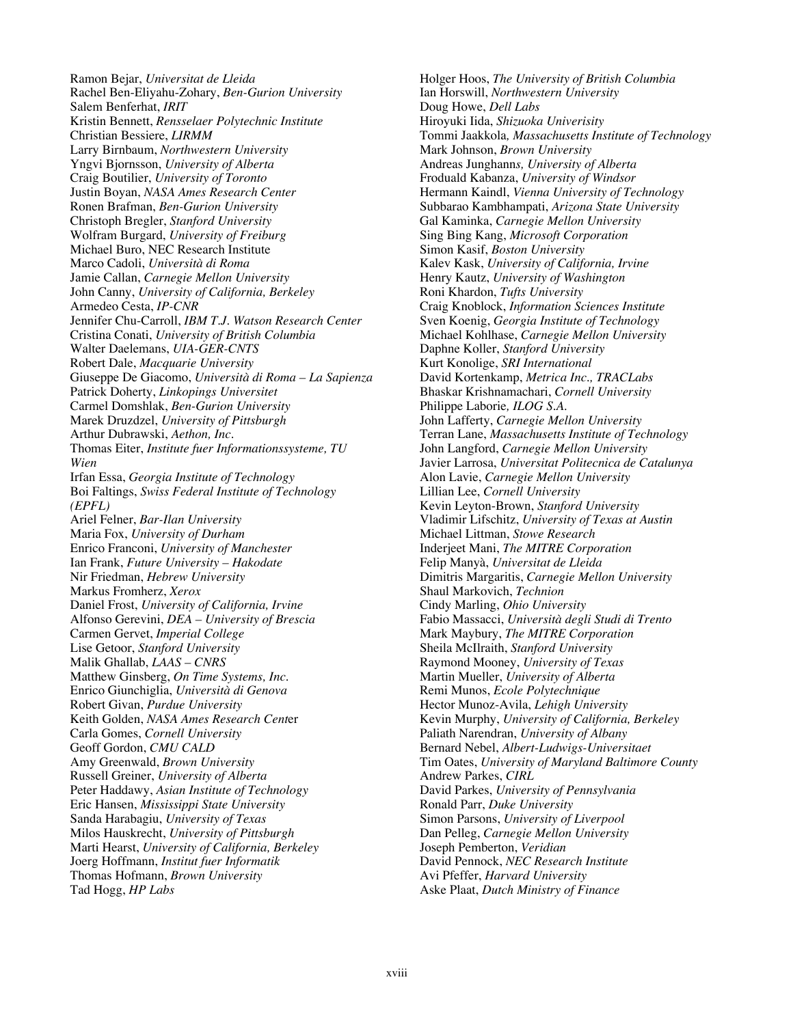Ramon Bejar, *Universitat de Lleida* Rachel Ben-Eliyahu-Zohary, *Ben-Gurion University* Salem Benferhat, *IRIT* Kristin Bennett, *Rensselaer Polytechnic Institute* Christian Bessiere, *LIRMM* Larry Birnbaum, *Northwestern University* Yngvi Bjornsson, *University of Alberta* Craig Boutilier, *University of Toronto* Justin Boyan, *NASA Ames Research Center* Ronen Brafman, *Ben-Gurion University* Christoph Bregler, *Stanford University* Wolfram Burgard, *University of Freiburg* Michael Buro, NEC Research Institute Marco Cadoli, *Università di Roma* Jamie Callan, *Carnegie Mellon University* John Canny, *University of California, Berkeley* Armedeo Cesta, *IP-CNR* Jennifer Chu-Carroll, *IBM T.J. Watson Research Center* Cristina Conati, *University of British Columbia* Walter Daelemans, *UIA-GER-CNTS* Robert Dale, *Macquarie University* Giuseppe De Giacomo, *Università di Roma – La Sapienza* Patrick Doherty, *Linkopings Universitet* Carmel Domshlak, *Ben-Gurion University* Marek Druzdzel, *University of Pittsburgh* Arthur Dubrawski, *Aethon, Inc.* Thomas Eiter, *Institute fuer Informationssysteme, TU Wien* Irfan Essa, *Georgia Institute of Technology* Boi Faltings, *Swiss Federal Institute of Technology (EPFL)* Ariel Felner, *Bar-Ilan University* Maria Fox, *University of Durham* Enrico Franconi, *University of Manchester* Ian Frank, *Future University – Hakodate* Nir Friedman, *Hebrew University* Markus Fromherz, *Xerox* Daniel Frost, *University of California, Irvine* Alfonso Gerevini, *DEA – University of Brescia* Carmen Gervet, *Imperial College* Lise Getoor, *Stanford University* Malik Ghallab, *LAAS – CNRS* Matthew Ginsberg, *On Time Systems, Inc.* Enrico Giunchiglia, *Università di Genova* Robert Givan, *Purdue University* Keith Golden, *NASA Ames Research Cent*er Carla Gomes, *Cornell University* Geoff Gordon, *CMU CALD* Amy Greenwald, *Brown University* Russell Greiner, *University of Alberta* Peter Haddawy, *Asian Institute of Technology* Eric Hansen, *Mississippi State University* Sanda Harabagiu, *University of Texas* Milos Hauskrecht, *University of Pittsburgh* Marti Hearst, *University of California, Berkeley* Joerg Hoffmann, *Institut fuer Informatik* Thomas Hofmann, *Brown University* Tad Hogg, *HP Labs*

Holger Hoos, *The University of British Columbia* Ian Horswill, *Northwestern University* Doug Howe, *Dell Labs* Hiroyuki Iida, *Shizuoka Univerisity* Tommi Jaakkola*, Massachusetts Institute of Technology* Mark Johnson, *Brown University* Andreas Junghann*s, University of Alberta* Froduald Kabanza, *University of Windsor* Hermann Kaindl, *Vienna University of Technology* Subbarao Kambhampati, *Arizona State University* Gal Kaminka, *Carnegie Mellon University* Sing Bing Kang, *Microsoft Corporation* Simon Kasif, *Boston University* Kalev Kask, *University of California, Irvine* Henry Kautz, *University of Washington* Roni Khardon, *Tufts University* Craig Knoblock, *Information Sciences Institute* Sven Koenig, *Georgia Institute of Technology* Michael Kohlhase, *Carnegie Mellon University* Daphne Koller, *Stanford University* Kurt Konolige, *SRI International* David Kortenkamp, *Metrica Inc., TRACLabs* Bhaskar Krishnamachari, *Cornell University* Philippe Laborie*, ILOG S.A.* John Lafferty, *Carnegie Mellon University* Terran Lane, *Massachusetts Institute of Technology* John Langford, *Carnegie Mellon University* Javier Larrosa, *Universitat Politecnica de Catalunya* Alon Lavie, *Carnegie Mellon University* Lillian Lee, *Cornell University* Kevin Leyton-Brown, *Stanford University* Vladimir Lifschitz, *University of Texas at Austin* Michael Littman, *Stowe Research* Inderjeet Mani, *The MITRE Corporation* Felip Manyà, *Universitat de Lleida* Dimitris Margaritis, *Carnegie Mellon University* Shaul Markovich, *Technion* Cindy Marling, *Ohio University* Fabio Massacci, *Università degli Studi di Trento* Mark Maybury, *The MITRE Corporation* Sheila McIlraith, *Stanford University* Raymond Mooney, *University of Texas* Martin Mueller, *University of Alberta* Remi Munos, *Ecole Polytechnique* Hector Munoz-Avila, *Lehigh University* Kevin Murphy, *University of California, Berkeley* Paliath Narendran, *University of Albany* Bernard Nebel, *Albert-Ludwigs-Universitaet* Tim Oates, *University of Maryland Baltimore County* Andrew Parkes, *CIRL* David Parkes, *University of Pennsylvania* Ronald Parr, *Duke University* Simon Parsons, *University of Liverpool* Dan Pelleg, *Carnegie Mellon University* Joseph Pemberton, *Veridian* David Pennock, *NEC Research Institute* Avi Pfeffer, *Harvard University* Aske Plaat, *Dutch Ministry of Finance*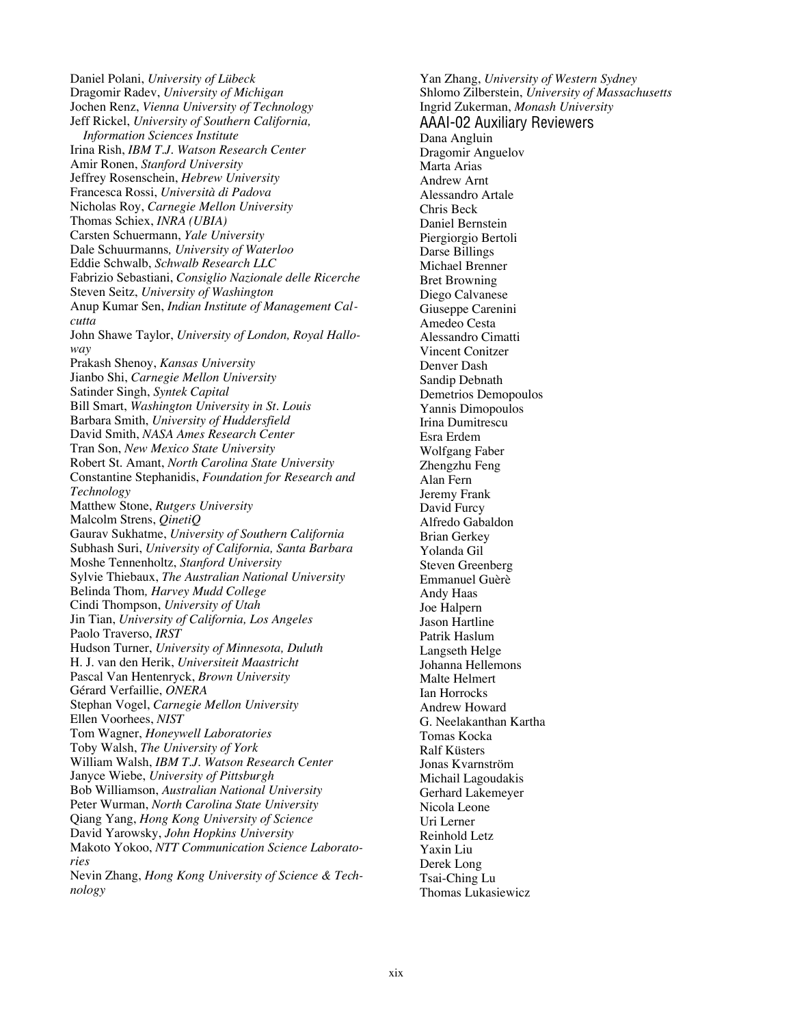Daniel Polani, *University of Lübeck* Dragomir Radev, *University of Michigan* Jochen Renz, *Vienna University of Technology* Jeff Rickel, *University of Southern California, Information Sciences Institute* Irina Rish, *IBM T.J. Watson Research Center* Amir Ronen, *Stanford University* Jeffrey Rosenschein, *Hebrew University* Francesca Rossi, *Università di Padova* Nicholas Roy, *Carnegie Mellon University* Thomas Schiex, *INRA (UBIA)* Carsten Schuermann, *Yale University* Dale Schuurmanns*, University of Waterloo* Eddie Schwalb, *Schwalb Research LLC* Fabrizio Sebastiani, *Consiglio Nazionale delle Ricerche* Steven Seitz, *University of Washington* Anup Kumar Sen, *Indian Institute of Management Calcutta* John Shawe Taylor, *University of London, Royal Halloway* Prakash Shenoy, *Kansas University* Jianbo Shi, *Carnegie Mellon University* Satinder Singh, *Syntek Capital* Bill Smart, *Washington University in St. Louis* Barbara Smith, *University of Huddersfield* David Smith, *NASA Ames Research Center* Tran Son, *New Mexico State University* Robert St. Amant, *North Carolina State University* Constantine Stephanidis, *Foundation for Research and Technology* Matthew Stone, *Rutgers University* Malcolm Strens, *QinetiQ* Gaurav Sukhatme, *University of Southern California* Subhash Suri, *University of California, Santa Barbara* Moshe Tennenholtz, *Stanford University* Sylvie Thiebaux, *The Australian National University* Belinda Thom*, Harvey Mudd College* Cindi Thompson, *University of Utah* Jin Tian, *University of California, Los Angeles* Paolo Traverso, *IRST* Hudson Turner, *University of Minnesota, Duluth* H. J. van den Herik, *Universiteit Maastricht* Pascal Van Hentenryck, *Brown University* Gérard Verfaillie, *ONERA* Stephan Vogel, *Carnegie Mellon University* Ellen Voorhees, *NIST* Tom Wagner, *Honeywell Laboratories* Toby Walsh, *The University of York* William Walsh, *IBM T.J. Watson Research Center* Janyce Wiebe, *University of Pittsburgh* Bob Williamson, *Australian National University* Peter Wurman, *North Carolina State University* Qiang Yang, *Hong Kong University of Science* David Yarowsky, *John Hopkins University* Makoto Yokoo, *NTT Communication Science Laboratories* Nevin Zhang, *Hong Kong University of Science & Technology*

Yan Zhang, *University of Western Sydney* Shlomo Zilberstein, *University of Massachusetts* Ingrid Zukerman, *Monash University* AAAI-02 Auxiliary Reviewers Dana Angluin Dragomir Anguelov Marta Arias Andrew Arnt Alessandro Artale Chris Beck Daniel Bernstein Piergiorgio Bertoli Darse Billings Michael Brenner Bret Browning Diego Calvanese Giuseppe Carenini Amedeo Cesta Alessandro Cimatti Vincent Conitzer Denver Dash Sandip Debnath Demetrios Demopoulos Yannis Dimopoulos Irina Dumitrescu Esra Erdem Wolfgang Faber Zhengzhu Feng Alan Fern Jeremy Frank David Furcy Alfredo Gabaldon Brian Gerkey Yolanda Gil Steven Greenberg Emmanuel Guèrè Andy Haas Joe Halpern Jason Hartline Patrik Haslum Langseth Helge Johanna Hellemons Malte Helmert Ian Horrocks Andrew Howard G. Neelakanthan Kartha Tomas Kocka Ralf Küsters Jonas Kvarnström Michail Lagoudakis Gerhard Lakemeyer Nicola Leone Uri Lerner Reinhold Letz Yaxin Liu Derek Long Tsai-Ching Lu Thomas Lukasiewicz